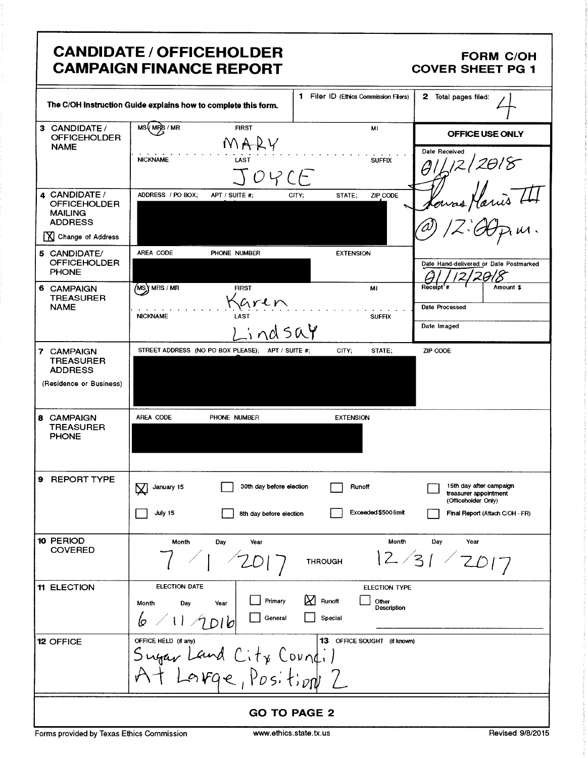## CANDIDATE / OFFICEHOLDER FORM C/OH<br>CAMPAIGN FINANCE REPORT COVER SHEET PG 1 **CAMPAIGN FINANCE REPORT**

|                                                                               | <b>CANDIDATE / OFFICEHOLDER</b><br><b>CAMPAIGN FINANCE REPORT</b>                                                                                                                                                                 | FORM C/OH<br>COVER SHEET PG 1                                                                                              |  |  |  |  |  |
|-------------------------------------------------------------------------------|-----------------------------------------------------------------------------------------------------------------------------------------------------------------------------------------------------------------------------------|----------------------------------------------------------------------------------------------------------------------------|--|--|--|--|--|
|                                                                               | The C/OH instruction Guide explains how to complete this form.                                                                                                                                                                    | 1 Filer ID (Ethics Commission Filers) 2 Total pages filed:                                                                 |  |  |  |  |  |
| 3 CANDIDATE/<br>OFFICEHOLDER<br>NAME                                          | <b>FIRST</b><br>MARY<br>contract the contract of the contract of the<br>LAST<br><b>NICKNAME</b>                                                                                                                                   | OFFICE USE ONLY<br>Date Received<br><b>SUFFIX</b>                                                                          |  |  |  |  |  |
| 4 CANDIDATE /<br>OFFICEHOLDER<br>MAILING<br>ADDRESS                           | TOYCF<br>ADDRESS / PO BOX; APT / SUITE #;<br>CITY;                                                                                                                                                                                | 191/2/2018<br>Noures Harris III<br>STATE; ZIP CODE                                                                         |  |  |  |  |  |
| Change of Address                                                             | AREA CODE PHONE NUMBER                                                                                                                                                                                                            | $12.00$ pin.<br>$(\varpi)$<br><b>EXTENSION</b>                                                                             |  |  |  |  |  |
| 5 CANDIDATE/<br>OFFICEHOLDER<br>PHONE<br>6 CAMPAIGN<br>TREASURER<br>NAME      | $\sqrt{MS}$ MRS / MR<br><b>FIRST</b><br>Karen                                                                                                                                                                                     | Date Hand-delivered or Date Postmarked<br>$\frac{6}{\frac{6}{\frac{1}{\sqrt{12}}}}$ 12/2018<br><b>MI</b><br>Date Processed |  |  |  |  |  |
|                                                                               | $\mathcal{A}$ , and $\mathcal{A}$ , and $\mathcal{A}$ , and $\mathcal{A}$ , and $\mathcal{A}$ , and $\mathcal{A}$<br>$\sigma$ , which is the contribution of the contribution of the $\sigma$<br>NICKNAME<br><b>LAST</b><br>indsa | <b>SUFFIX</b><br>Date Imaged                                                                                               |  |  |  |  |  |
| 7 CAMPAIGN<br>TREASURER<br>ADDRESS<br>$\vert$ (Residence or Business) $\vert$ | STREET ADDRESS (NO PO BOX PLEASE); APT / SUITE #;                                                                                                                                                                                 | CITY; STATE;<br>ZIP CODE                                                                                                   |  |  |  |  |  |
| 8 CAMPAIGN<br>TREASURER<br>PHONE                                              | PHONE NUMBER<br>AREA CODE                                                                                                                                                                                                         | <b>EXTENSION</b>                                                                                                           |  |  |  |  |  |
| 9 REPORT TYPE                                                                 | 30th day before election Runoff<br>$\sum$ January 15                                                                                                                                                                              | 15th day after campaign<br>treasurer appointment<br>(Officeholder Only)                                                    |  |  |  |  |  |
|                                                                               | $\sqrt{}$ July 15<br>8th day before election                                                                                                                                                                                      | Exceeded \$500 limit<br>Final Report (Attach C/OH - FR)                                                                    |  |  |  |  |  |
| 10 PERIOD<br>COVERED                                                          | <b>Month</b> Day<br>$\rightarrow$<br>$\sqrt{201}$                                                                                                                                                                                 | Month Day Year<br>THROUGH $ 2/31/2017$                                                                                     |  |  |  |  |  |
| 11 ELECTION                                                                   | ELECTION DATE<br>Month Day Year Primary X Runoff Description<br>$6/11/1010$ Special Special                                                                                                                                       | ELECTION TYPE<br>$\overline{\phantom{a}}$                                                                                  |  |  |  |  |  |
| 12 OFFICE                                                                     | OFFICE HELD (if any)<br>Sugar Land City Council                                                                                                                                                                                   | 13 OFFICE SOUGHT (if known)                                                                                                |  |  |  |  |  |
|                                                                               | IAT Large, Position Z                                                                                                                                                                                                             |                                                                                                                            |  |  |  |  |  |
| Forms provided by Texas Ethics Commission                                     | <b>GO TO PAGE 2</b><br>www.ethics.state.tx.us                                                                                                                                                                                     | Revised 9/8/2015                                                                                                           |  |  |  |  |  |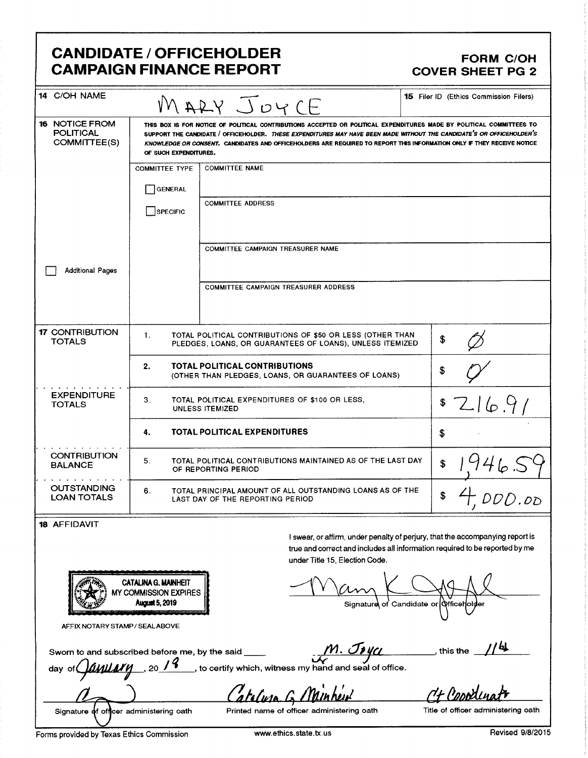### CANDIDATE / OFFICEHOLDER FORM C/OH CAMPAIGN FINANCE REPORT COVER SHEET PG 2

| 14 C/OH NAME                                              | MARY JOYCE                                                                                          | <b>15 Filer ID (Ethics Commission Filers)</b>                                                                                                                                                                                                                                                                                                                           |    |  |  |  |
|-----------------------------------------------------------|-----------------------------------------------------------------------------------------------------|-------------------------------------------------------------------------------------------------------------------------------------------------------------------------------------------------------------------------------------------------------------------------------------------------------------------------------------------------------------------------|----|--|--|--|
| <b>16 NOTICE FROM</b><br><b>POLITICAL</b><br>COMMITTEE(S) | OF SUCH EXPENDITURES.                                                                               | THIS BOX IS FOR NOTICE OF POLITICAL CONTRIBUTIONS ACCEPTED OR POLITICAL EXPENDITURES MADE BY POLITICAL COMMITTEES TO<br>SUPPORT THE CANDIDATE / OFFICEHOLDER. THESE EXPENDITURES MAY HAVE BEEN MADE WITHOUT THE CANDIDATE'S OR OFFICEHOLDER'S<br>KNOWLEDGE OR CONSENT. CANDIDATES AND OFFICEHOLDERS ARE REQUIRED TO REPORT THIS INFORMATION ONLY IF THEY RECEIVE NOTICE |    |  |  |  |
|                                                           | <b>COMMITTEE TYPE</b>                                                                               | <b>COMMITTEE NAME</b>                                                                                                                                                                                                                                                                                                                                                   |    |  |  |  |
|                                                           | <b>GENERAL</b>                                                                                      |                                                                                                                                                                                                                                                                                                                                                                         |    |  |  |  |
|                                                           | SPECIFIC                                                                                            | <b>COMMITTEE ADDRESS</b>                                                                                                                                                                                                                                                                                                                                                |    |  |  |  |
| <b>Additional Pages</b>                                   |                                                                                                     | COMMITTEE CAMPAIGN TREASURER NAME                                                                                                                                                                                                                                                                                                                                       |    |  |  |  |
|                                                           |                                                                                                     | <b>COMMITTEE CAMPAIGN TREASURER ADDRESS</b>                                                                                                                                                                                                                                                                                                                             |    |  |  |  |
| <b>17 CONTRIBUTION</b><br><b>TOTALS</b>                   | 1.                                                                                                  | TOTAL POLITICAL CONTRIBUTIONS OF \$50 OR LESS (OTHER THAN<br>PLEDGES, LOANS, OR GUARANTEES OF LOANS), UNLESS ITEMIZED                                                                                                                                                                                                                                                   | \$ |  |  |  |
|                                                           | 2.<br>TOTAL POLITICAL CONTRIBUTIONS<br>(OTHER THAN PLEDGES, LOANS, OR GUARANTEES OF LOANS)          | \$                                                                                                                                                                                                                                                                                                                                                                      |    |  |  |  |
| <b>EXPENDITURE</b><br><b>TOTALS</b>                       | 3.<br>TOTAL POLITICAL EXPENDITURES OF \$100 OR LESS,<br><b>UNLESS ITEMIZED</b>                      | 716.9<br>\$                                                                                                                                                                                                                                                                                                                                                             |    |  |  |  |
|                                                           | TOTAL POLITICAL EXPENDITURES<br>4.                                                                  | \$                                                                                                                                                                                                                                                                                                                                                                      |    |  |  |  |
| <b>CONTRIBUTION</b><br><b>BALANCE</b>                     | TOTAL POLITICAL CONTRIBUTIONS MAINTAINED AS OF THE LAST DAY<br>5.<br>OF REPORTING PERIOD            | \$                                                                                                                                                                                                                                                                                                                                                                      |    |  |  |  |
| <b>OUTSTANDING</b><br><b>LOAN TOTALS</b>                  | TOTAL PRINCIPAL AMOUNT OF ALL OUTSTANDING LOANS AS OF THE<br>6.<br>LAST DAY OF THE REPORTING PERIOD | \$                                                                                                                                                                                                                                                                                                                                                                      |    |  |  |  |
| <b>18 AFFIDAVIT</b>                                       |                                                                                                     | I swear, or affirm, under penalty of perjury, that the accompanying report is                                                                                                                                                                                                                                                                                           |    |  |  |  |

CATAJNA G. MAINHEIT

under Title 15, Election Code. under Title 15, Election Code.<br>
CATALINA G. MAINHEIT<br>
MY COMMISSION EXPIRES

true and correct and includes all information required to be reported by me

 $\heartsuit$ 5, <sup>2019</sup> c,. <sup>d</sup> Signatur of Candidate or ffice • er

AFFIX NOTARY STAMP/ SEALABOVE

Sworn to and subscribed before me, by the said  $\frac{M. \mathcal{J}\mathcal{YU}}{M}$ ,  $\mathcal{J}\mathcal{YU}$ , this the

day of $\bigcirc$ *[[| 1] 20 / <sup>2</sup>* , to certify which, witness my illet the contract of the contract of the hand and seal of office.

afeluse G Minheut Ct Cooder

 $\boldsymbol{d}$ 

Signature of officer administering oath Printed name of officer administering oath Title of officer administering oath

Forms provided by Texas Ethics Commission www.ethics.state.tx.us Revised 9/8/2015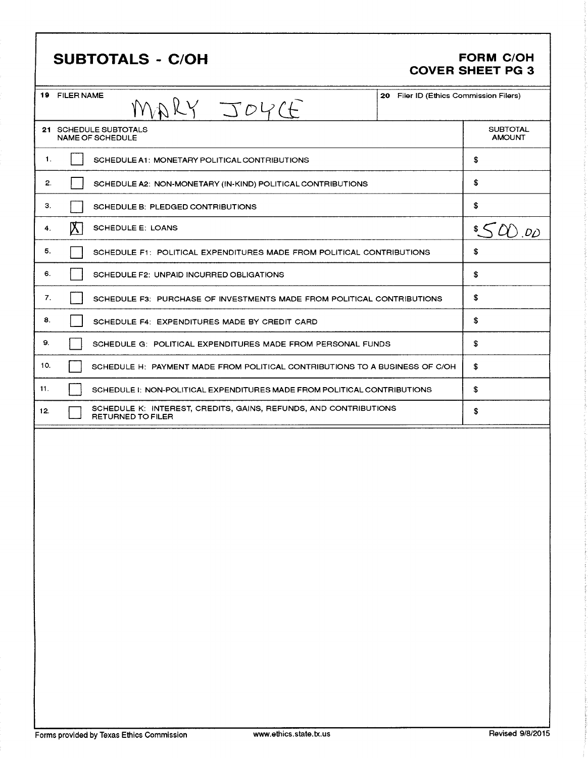# SUBTOTALS - C/OH FORM C/OH

# COVER SHEET PG 3

| <b>19 FILER NAME</b><br>20 Filer ID (Ethics Commission Filers)<br>MARY JOYCE                        |                                  |  |
|-----------------------------------------------------------------------------------------------------|----------------------------------|--|
| 21 SCHEDULE SUBTOTALS<br><b>NAME OF SCHEDULE</b>                                                    | <b>SUBTOTAL</b><br><b>AMOUNT</b> |  |
| 1.<br>SCHEDULE A1: MONETARY POLITICAL CONTRIBUTIONS                                                 | \$                               |  |
| 2.<br>SCHEDULE A2: NON-MONETARY (IN-KIND) POLITICAL CONTRIBUTIONS                                   | \$                               |  |
| З.<br>SCHEDULE B: PLEDGED CONTRIBUTIONS                                                             | \$                               |  |
| $\mathbb{X}$ .<br>SCHEDULE E. LOANS<br>4.                                                           | $\frac{1}{2}$ $\leq$ $Q$ ). $D$  |  |
| 5.<br>SCHEDULE F1: POLITICAL EXPENDITURES MADE FROM POLITICAL CONTRIBUTIONS                         | \$                               |  |
| 6.<br>SCHEDULE F2: UNPAID INCURRED OBLIGATIONS                                                      | \$                               |  |
| 7.<br>SCHEDULE F3: PURCHASE OF INVESTMENTS MADE FROM POLITICAL CONTRIBUTIONS                        | \$                               |  |
| 8.<br>SCHEDULE F4: EXPENDITURES MADE BY CREDIT CARD                                                 | \$                               |  |
| 9.<br>SCHEDULE G: POLITICAL EXPENDITURES MADE FROM PERSONAL FUNDS                                   | \$                               |  |
| 10.<br>SCHEDULE H: PAYMENT MADE FROM POLITICAL CONTRIBUTIONS TO A BUSINESS OF C/OH                  | \$                               |  |
| 11.<br>SCHEDULE I: NON-POLITICAL EXPENDITURES MADE FROM POLITICAL CONTRIBUTIONS                     | \$                               |  |
| SCHEDULE K: INTEREST, CREDITS, GAINS, REFUNDS, AND CONTRIBUTIONS<br>12.<br><b>RETURNED TO FILER</b> | \$                               |  |
|                                                                                                     |                                  |  |
|                                                                                                     |                                  |  |
|                                                                                                     |                                  |  |
|                                                                                                     |                                  |  |